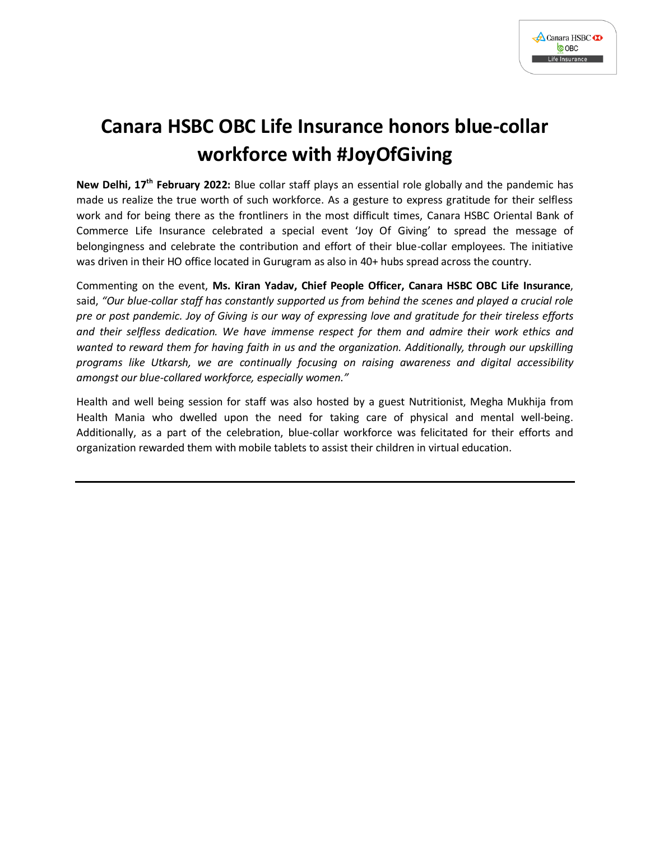

## **Canara HSBC OBC Life Insurance honors blue-collar workforce with #JoyOfGiving**

**New Delhi, 17th February 2022:** Blue collar staff plays an essential role globally and the pandemic has made us realize the true worth of such workforce. As a gesture to express gratitude for their selfless work and for being there as the frontliners in the most difficult times, Canara HSBC Oriental Bank of Commerce Life Insurance celebrated a special event 'Joy Of Giving' to spread the message of belongingness and celebrate the contribution and effort of their blue-collar employees. The initiative was driven in their HO office located in Gurugram as also in 40+ hubs spread across the country.

Commenting on the event, **Ms. Kiran Yadav, Chief People Officer, Canara HSBC OBC Life Insurance**, said, *"Our blue-collar staff has constantly supported us from behind the scenes and played a crucial role pre or post pandemic. Joy of Giving is our way of expressing love and gratitude for their tireless efforts and their selfless dedication. We have immense respect for them and admire their work ethics and wanted to reward them for having faith in us and the organization. Additionally, through our upskilling programs like Utkarsh, we are continually focusing on raising awareness and digital accessibility amongst our blue-collared workforce, especially women."*

Health and well being session for staff was also hosted by a guest Nutritionist, Megha Mukhija from Health Mania who dwelled upon the need for taking care of physical and mental well-being. Additionally, as a part of the celebration, blue-collar workforce was felicitated for their efforts and organization rewarded them with mobile tablets to assist their children in virtual education.